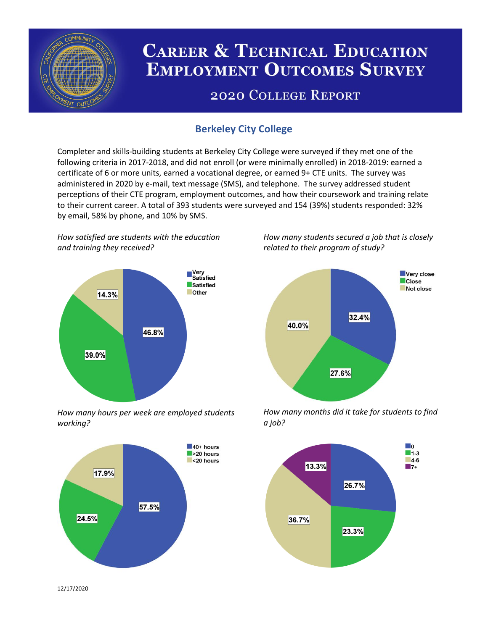

# **CAREER & TECHNICAL EDUCATION EMPLOYMENT OUTCOMES SURVEY**

## **2020 COLLEGE REPORT**

### **Berkeley City College**

Completer and skills-building students at Berkeley City College were surveyed if they met one of the following criteria in 2017-2018, and did not enroll (or were minimally enrolled) in 2018-2019: earned a certificate of 6 or more units, earned a vocational degree, or earned 9+ CTE units. The survey was administered in 2020 by e-mail, text message (SMS), and telephone. The survey addressed student perceptions of their CTE program, employment outcomes, and how their coursework and training relate to their current career. A total of 393 students were surveyed and 154 (39%) students responded: 32% by email, 58% by phone, and 10% by SMS.

*How satisfied are students with the education and training they received?*



*How many hours per week are employed students working?*



*How many students secured a job that is closely related to their program of study?*



*How many months did it take for students to find a job?*